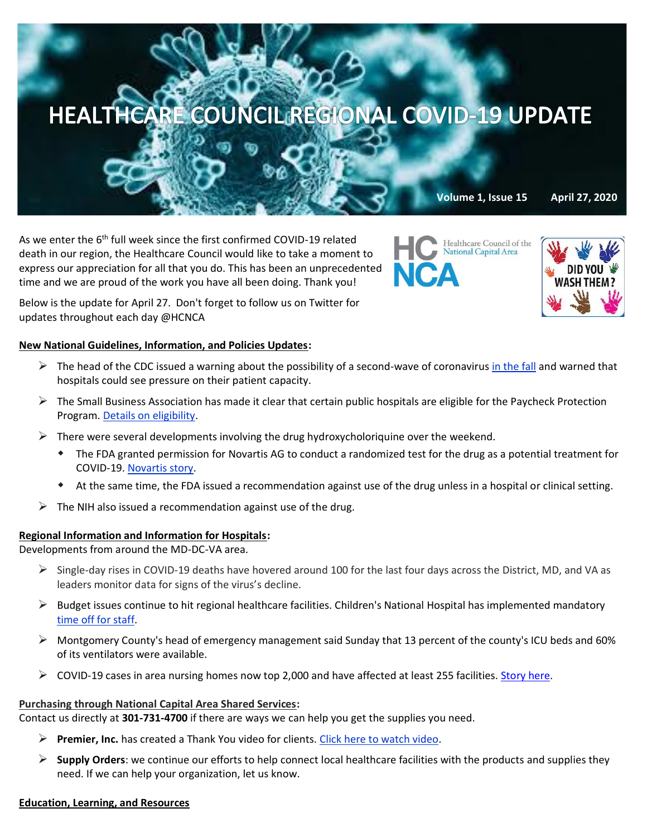

As we enter the 6<sup>th</sup> full week since the first confirmed COVID-19 related death in our region, the Healthcare Council would like to take a moment to express our appreciation for all that you do. This has been an unprecedented time and we are proud of the work you have all been doing. Thank you!



Below is the update for April 27. Don't forget to follow us on Twitter for updates throughout each day @HCNCA

# **New National Guidelines, Information, and Policies Updates:**

- $\triangleright$  The head of the CDC issued a warning about the possibility of a second-wave of coronavirus [in the fall](https://www.washingtonpost.com/health/2020/04/21/coronavirus-secondwave-cdcdirector/?mkt_tok=eyJpIjoiTkRBNU9UQmpObVk0TW1RMiIsInQiOiI1ejB1TEVrU3JaTFwvcDdvZWJQcXBTYzk4SW9BRVdwRXFwRDJVR2p5RjltT2ZDamYrM3pUb1wvV05wRWZDODFTWHFNOExzYjlBNW12eDdRZWVqSXFJc290MTNXNEJzY3ppKzlqZG51SklNWHVHWTI5bGFHZXdHYWxcL2ZybmlIaURCeSJ9) and warned that hospitals could see pressure on their patient capacity.
- $\triangleright$  The Small Business Association has made it clear that certain public hospitals are eligible for the Paycheck Protection Program[. Details on eligibility.](https://www.aha.org/special-bulletin/2020-04-24-sba-clarifies-certain-public-hospitals-are-eligible-paycheck-protection)
- $\triangleright$  There were several developments involving the drug hydroxycholoriquine over the weekend.
	- The FDA granted permission for Novartis AG to conduct a randomized test for the drug as a potential treatment for COVID-19[. Novartis story.](https://www.reuters.com/article/us-novartis-coronavirus-test/novartis-u-s-drug-regulator-agree-to-malaria-drug-trial-against-covid-19-idUSKBN2220DW?mkt_tok=eyJpIjoiTkRBNU9UQmpObVk0TW1RMiIsInQiOiI1ejB1TEVrU3JaTFwvcDdvZWJQcXBTYzk4SW9BRVdwRXFwRDJVR2p5RjltT2ZDamYrM3pUb1wvV05wRWZDODFTWHFNOExzYjlBNW12eDdRZWVqSXFJc290MTNXNEJzY3ppKzlqZG51SklNWHVHWTI5bGFHZXdHYWxcL2ZybmlIaURCeSJ9)
	- At the same time, the FDA issued a recommendation against use of the drug unless in a hospital or clinical setting.
- $\triangleright$  The NIH also issued a recommendation against use of the drug.

## **Regional Information and Information for Hospitals:**

Developments from around the MD-DC-VA area.

- $\triangleright$  Single-day rises in COVID-19 deaths have hovered around 100 for the last four days across the District, MD, and VA as leaders monitor data for signs of the virus's decline.
- $\triangleright$  Budget issues continue to hit regional healthcare facilities. Children's National Hospital has implemented mandatory [time off for staff.](https://www.washingtonpost.com/dc-md-va/2020/04/24/coronavirus-dc-maryland-virginia-live-updates/)
- $\triangleright$  Montgomery County's head of emergency management said Sunday that 13 percent of the county's ICU beds and 60% of its ventilators were available.
- ➢ COVID-19 cases in area nursing homes now top 2,000 and have affected at least 255 facilities. [Story here.](https://www.washingtonpost.com/local/coronavirus-cases-at-local-nursing-homes-pass-2000-families-seek-transparency/2020/04/24/9b50d9ec-84a0-11ea-a3eb-e9fc93160703_story.html)

## **Purchasing through National Capital Area Shared Services:**

Contact us directly at **301-731-4700** if there are ways we can help you get the supplies you need.

- ➢ **Premier, Inc.** has created a Thank You video for clients[. Click here to watch video.](https://www.premierinc.com/newsroom/covid-19/premier-says-thank-you)
- ➢ **Supply Orders**: we continue our efforts to help connect local healthcare facilities with the products and supplies they need. If we can help your organization, let us know.

### **Education, Learning, and Resources**